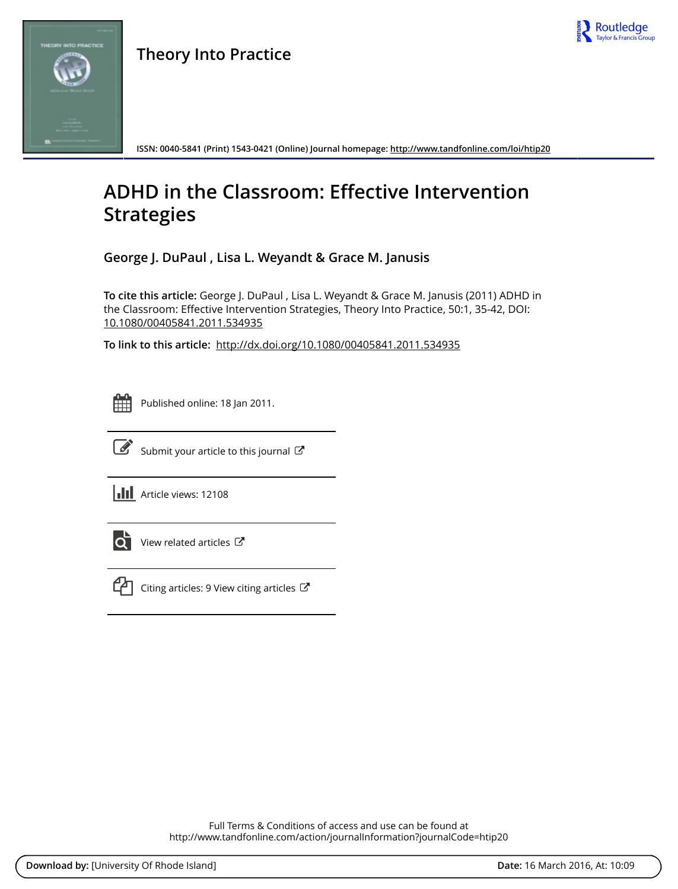

### **Theory Into Practice**



**ISSN: 0040-5841 (Print) 1543-0421 (Online) Journal homepage:<http://www.tandfonline.com/loi/htip20>**

## **ADHD in the Classroom: Effective Intervention Strategies**

**George J. DuPaul , Lisa L. Weyandt & Grace M. Janusis**

**To cite this article:** George J. DuPaul , Lisa L. Weyandt & Grace M. Janusis (2011) ADHD in the Classroom: Effective Intervention Strategies, Theory Into Practice, 50:1, 35-42, DOI: [10.1080/00405841.2011.534935](http://www.tandfonline.com/action/showCitFormats?doi=10.1080/00405841.2011.534935)

**To link to this article:** <http://dx.doi.org/10.1080/00405841.2011.534935>

| _ |  |  |  |  |
|---|--|--|--|--|
|   |  |  |  |  |
|   |  |  |  |  |
|   |  |  |  |  |

Published online: 18 Jan 2011.



 $\overrightarrow{S}$  [Submit your article to this journal](http://www.tandfonline.com/action/authorSubmission?journalCode=htip20&page=instructions)  $G$ 

**III** Article views: 12108



 $\overrightarrow{Q}$  [View related articles](http://www.tandfonline.com/doi/mlt/10.1080/00405841.2011.534935)  $\overrightarrow{C}$ 



 $\Box$  [Citing articles: 9 View citing articles](http://www.tandfonline.com/doi/citedby/10.1080/00405841.2011.534935#tabModule)  $\Box$ 

Full Terms & Conditions of access and use can be found at <http://www.tandfonline.com/action/journalInformation?journalCode=htip20>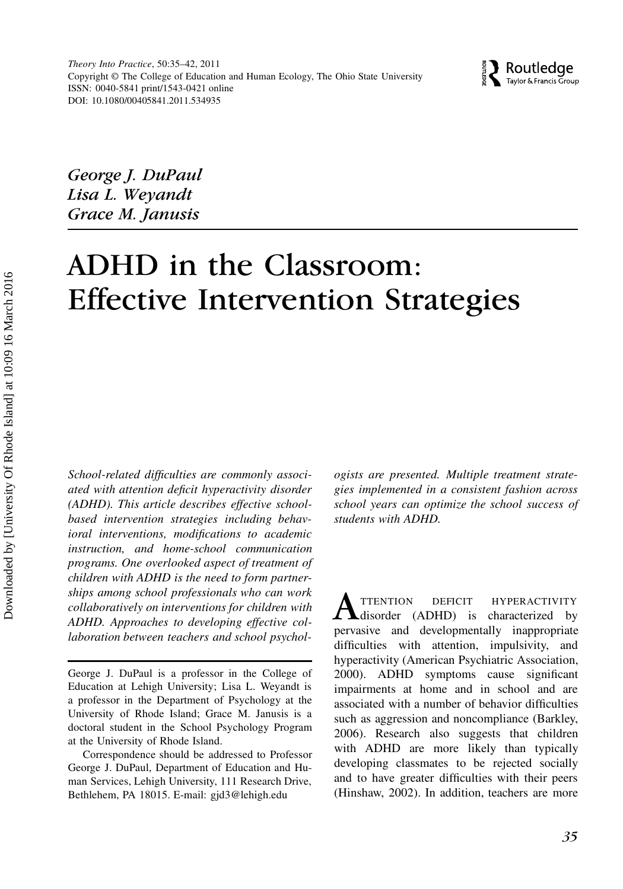

George J. DuPaul Lisa L. Weyandt Grace M. Janusis

# ADHD in the Classroom: Effective Intervention Strategies

School-related difficulties are commonly associated with attention deficit hyperactivity disorder (ADHD). This article describes effective schoolbased intervention strategies including behavioral interventions, modifications to academic instruction, and home-school communication programs. One overlooked aspect of treatment of children with ADHD is the need to form partnerships among school professionals who can work collaboratively on interventions for children with ADHD. Approaches to developing effective collaboration between teachers and school psychol-

ogists are presented. Multiple treatment strategies implemented in a consistent fashion across school years can optimize the school success of students with ADHD.

 $A$ <sup>TTENTION</sup> DEFICIT HYPERACTIVITY (ADHD) is characterized by pervasive and developmentally inappropriate difficulties with attention, impulsivity, and hyperactivity (American Psychiatric Association, 2000). ADHD symptoms cause significant impairments at home and in school and are associated with a number of behavior difficulties such as aggression and noncompliance (Barkley, 2006). Research also suggests that children with ADHD are more likely than typically developing classmates to be rejected socially and to have greater difficulties with their peers (Hinshaw, 2002). In addition, teachers are more

George J. DuPaul is a professor in the College of Education at Lehigh University; Lisa L. Weyandt is a professor in the Department of Psychology at the University of Rhode Island; Grace M. Janusis is a doctoral student in the School Psychology Program at the University of Rhode Island.

Correspondence should be addressed to Professor George J. DuPaul, Department of Education and Human Services, Lehigh University, 111 Research Drive, Bethlehem, PA 18015. E-mail: gjd3@lehigh.edu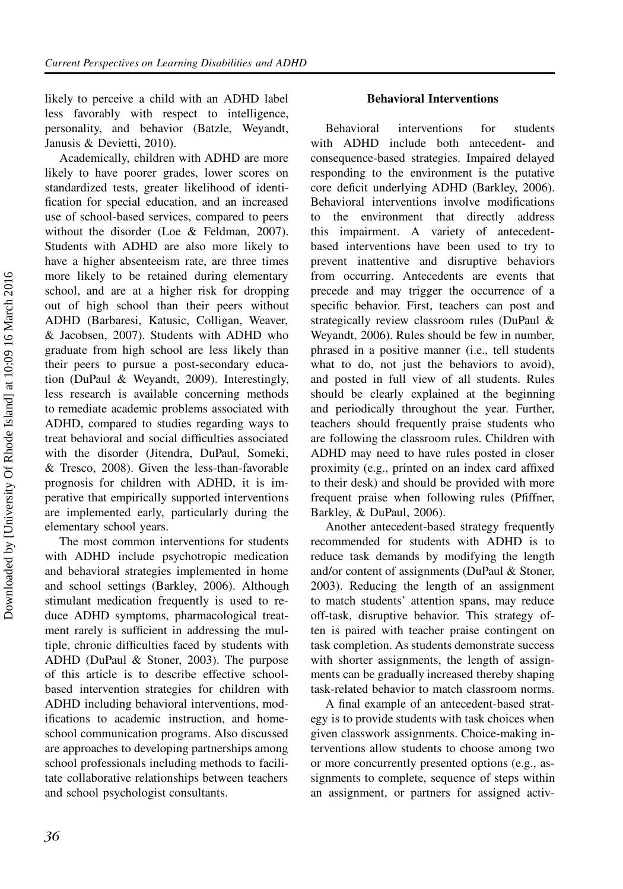likely to perceive a child with an ADHD label less favorably with respect to intelligence, personality, and behavior (Batzle, Weyandt, Janusis & Devietti, 2010).

Academically, children with ADHD are more likely to have poorer grades, lower scores on standardized tests, greater likelihood of identification for special education, and an increased use of school-based services, compared to peers without the disorder (Loe & Feldman, 2007). Students with ADHD are also more likely to have a higher absenteeism rate, are three times more likely to be retained during elementary school, and are at a higher risk for dropping out of high school than their peers without ADHD (Barbaresi, Katusic, Colligan, Weaver, & Jacobsen, 2007). Students with ADHD who graduate from high school are less likely than their peers to pursue a post-secondary education (DuPaul & Weyandt, 2009). Interestingly, less research is available concerning methods to remediate academic problems associated with ADHD, compared to studies regarding ways to treat behavioral and social difficulties associated with the disorder (Jitendra, DuPaul, Someki, & Tresco, 2008). Given the less-than-favorable prognosis for children with ADHD, it is imperative that empirically supported interventions are implemented early, particularly during the elementary school years.

The most common interventions for students with ADHD include psychotropic medication and behavioral strategies implemented in home and school settings (Barkley, 2006). Although stimulant medication frequently is used to reduce ADHD symptoms, pharmacological treatment rarely is sufficient in addressing the multiple, chronic difficulties faced by students with ADHD (DuPaul & Stoner, 2003). The purpose of this article is to describe effective schoolbased intervention strategies for children with ADHD including behavioral interventions, modifications to academic instruction, and homeschool communication programs. Also discussed are approaches to developing partnerships among school professionals including methods to facilitate collaborative relationships between teachers and school psychologist consultants.

#### Behavioral Interventions

Behavioral interventions for students with ADHD include both antecedent- and consequence-based strategies. Impaired delayed responding to the environment is the putative core deficit underlying ADHD (Barkley, 2006). Behavioral interventions involve modifications to the environment that directly address this impairment. A variety of antecedentbased interventions have been used to try to prevent inattentive and disruptive behaviors from occurring. Antecedents are events that precede and may trigger the occurrence of a specific behavior. First, teachers can post and strategically review classroom rules (DuPaul & Weyandt, 2006). Rules should be few in number, phrased in a positive manner (i.e., tell students what to do, not just the behaviors to avoid), and posted in full view of all students. Rules should be clearly explained at the beginning and periodically throughout the year. Further, teachers should frequently praise students who are following the classroom rules. Children with ADHD may need to have rules posted in closer proximity (e.g., printed on an index card affixed to their desk) and should be provided with more frequent praise when following rules (Pfiffner, Barkley, & DuPaul, 2006).

Another antecedent-based strategy frequently recommended for students with ADHD is to reduce task demands by modifying the length and/or content of assignments (DuPaul & Stoner, 2003). Reducing the length of an assignment to match students' attention spans, may reduce off-task, disruptive behavior. This strategy often is paired with teacher praise contingent on task completion. As students demonstrate success with shorter assignments, the length of assignments can be gradually increased thereby shaping task-related behavior to match classroom norms.

A final example of an antecedent-based strategy is to provide students with task choices when given classwork assignments. Choice-making interventions allow students to choose among two or more concurrently presented options (e.g., assignments to complete, sequence of steps within an assignment, or partners for assigned activ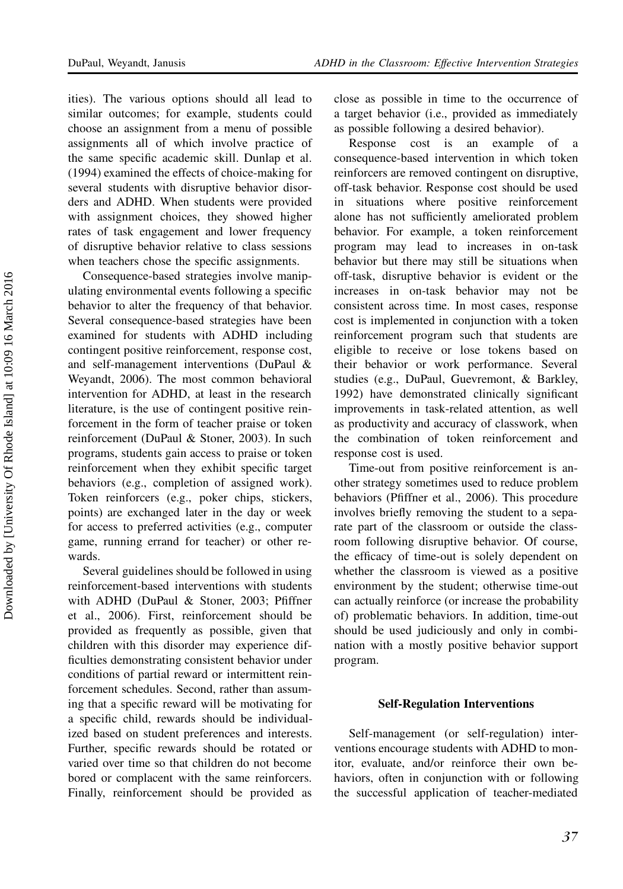ities). The various options should all lead to similar outcomes; for example, students could choose an assignment from a menu of possible assignments all of which involve practice of the same specific academic skill. Dunlap et al. (1994) examined the effects of choice-making for several students with disruptive behavior disorders and ADHD. When students were provided with assignment choices, they showed higher rates of task engagement and lower frequency of disruptive behavior relative to class sessions when teachers chose the specific assignments.

Consequence-based strategies involve manipulating environmental events following a specific behavior to alter the frequency of that behavior. Several consequence-based strategies have been examined for students with ADHD including contingent positive reinforcement, response cost, and self-management interventions (DuPaul & Weyandt, 2006). The most common behavioral intervention for ADHD, at least in the research literature, is the use of contingent positive reinforcement in the form of teacher praise or token reinforcement (DuPaul & Stoner, 2003). In such programs, students gain access to praise or token reinforcement when they exhibit specific target behaviors (e.g., completion of assigned work). Token reinforcers (e.g., poker chips, stickers, points) are exchanged later in the day or week for access to preferred activities (e.g., computer game, running errand for teacher) or other rewards.

Several guidelines should be followed in using reinforcement-based interventions with students with ADHD (DuPaul & Stoner, 2003; Pfiffner et al., 2006). First, reinforcement should be provided as frequently as possible, given that children with this disorder may experience difficulties demonstrating consistent behavior under conditions of partial reward or intermittent reinforcement schedules. Second, rather than assuming that a specific reward will be motivating for a specific child, rewards should be individualized based on student preferences and interests. Further, specific rewards should be rotated or varied over time so that children do not become bored or complacent with the same reinforcers. Finally, reinforcement should be provided as close as possible in time to the occurrence of a target behavior (i.e., provided as immediately as possible following a desired behavior).

Response cost is an example of consequence-based intervention in which token reinforcers are removed contingent on disruptive, off-task behavior. Response cost should be used in situations where positive reinforcement alone has not sufficiently ameliorated problem behavior. For example, a token reinforcement program may lead to increases in on-task behavior but there may still be situations when off-task, disruptive behavior is evident or the increases in on-task behavior may not be consistent across time. In most cases, response cost is implemented in conjunction with a token reinforcement program such that students are eligible to receive or lose tokens based on their behavior or work performance. Several studies (e.g., DuPaul, Guevremont, & Barkley, 1992) have demonstrated clinically significant improvements in task-related attention, as well as productivity and accuracy of classwork, when the combination of token reinforcement and response cost is used.

Time-out from positive reinforcement is another strategy sometimes used to reduce problem behaviors (Pfiffner et al., 2006). This procedure involves briefly removing the student to a separate part of the classroom or outside the classroom following disruptive behavior. Of course, the efficacy of time-out is solely dependent on whether the classroom is viewed as a positive environment by the student; otherwise time-out can actually reinforce (or increase the probability of) problematic behaviors. In addition, time-out should be used judiciously and only in combination with a mostly positive behavior support program.

#### Self-Regulation Interventions

Self-management (or self-regulation) interventions encourage students with ADHD to monitor, evaluate, and/or reinforce their own behaviors, often in conjunction with or following the successful application of teacher-mediated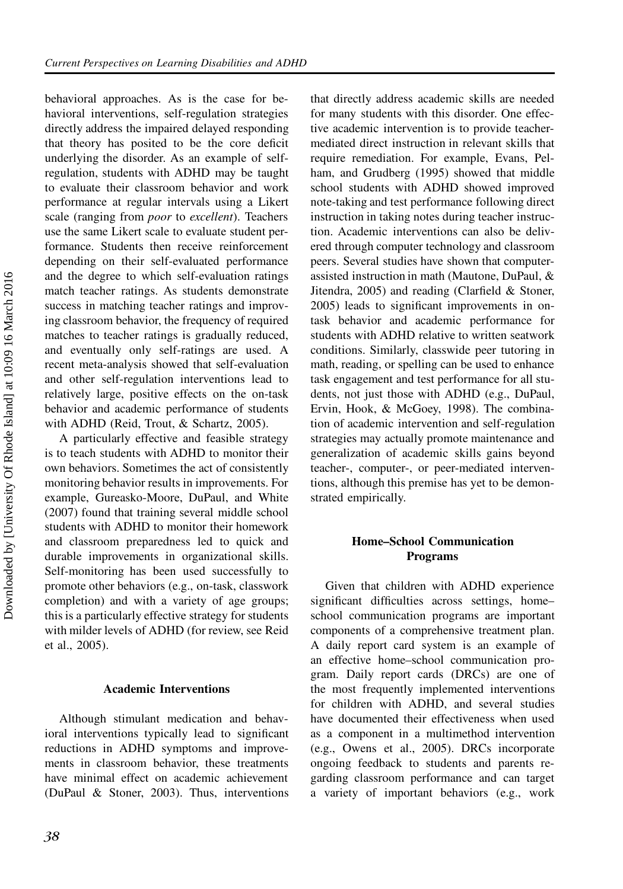behavioral approaches. As is the case for behavioral interventions, self-regulation strategies directly address the impaired delayed responding that theory has posited to be the core deficit underlying the disorder. As an example of selfregulation, students with ADHD may be taught to evaluate their classroom behavior and work performance at regular intervals using a Likert scale (ranging from *poor* to excellent). Teachers use the same Likert scale to evaluate student performance. Students then receive reinforcement depending on their self-evaluated performance and the degree to which self-evaluation ratings match teacher ratings. As students demonstrate success in matching teacher ratings and improving classroom behavior, the frequency of required matches to teacher ratings is gradually reduced, and eventually only self-ratings are used. A recent meta-analysis showed that self-evaluation and other self-regulation interventions lead to relatively large, positive effects on the on-task behavior and academic performance of students with ADHD (Reid, Trout, & Schartz, 2005).

A particularly effective and feasible strategy is to teach students with ADHD to monitor their own behaviors. Sometimes the act of consistently monitoring behavior results in improvements. For example, Gureasko-Moore, DuPaul, and White (2007) found that training several middle school students with ADHD to monitor their homework and classroom preparedness led to quick and durable improvements in organizational skills. Self-monitoring has been used successfully to promote other behaviors (e.g., on-task, classwork completion) and with a variety of age groups; this is a particularly effective strategy for students with milder levels of ADHD (for review, see Reid et al., 2005).

#### Academic Interventions

Although stimulant medication and behavioral interventions typically lead to significant reductions in ADHD symptoms and improvements in classroom behavior, these treatments have minimal effect on academic achievement (DuPaul & Stoner, 2003). Thus, interventions

that directly address academic skills are needed for many students with this disorder. One effective academic intervention is to provide teachermediated direct instruction in relevant skills that require remediation. For example, Evans, Pelham, and Grudberg (1995) showed that middle school students with ADHD showed improved note-taking and test performance following direct instruction in taking notes during teacher instruction. Academic interventions can also be delivered through computer technology and classroom peers. Several studies have shown that computerassisted instruction in math (Mautone, DuPaul, & Jitendra, 2005) and reading (Clarfield & Stoner, 2005) leads to significant improvements in ontask behavior and academic performance for students with ADHD relative to written seatwork conditions. Similarly, classwide peer tutoring in math, reading, or spelling can be used to enhance task engagement and test performance for all students, not just those with ADHD (e.g., DuPaul, Ervin, Hook, & McGoey, 1998). The combination of academic intervention and self-regulation strategies may actually promote maintenance and generalization of academic skills gains beyond teacher-, computer-, or peer-mediated interventions, although this premise has yet to be demonstrated empirically.

#### Home–School Communication Programs

Given that children with ADHD experience significant difficulties across settings, home– school communication programs are important components of a comprehensive treatment plan. A daily report card system is an example of an effective home–school communication program. Daily report cards (DRCs) are one of the most frequently implemented interventions for children with ADHD, and several studies have documented their effectiveness when used as a component in a multimethod intervention (e.g., Owens et al., 2005). DRCs incorporate ongoing feedback to students and parents regarding classroom performance and can target a variety of important behaviors (e.g., work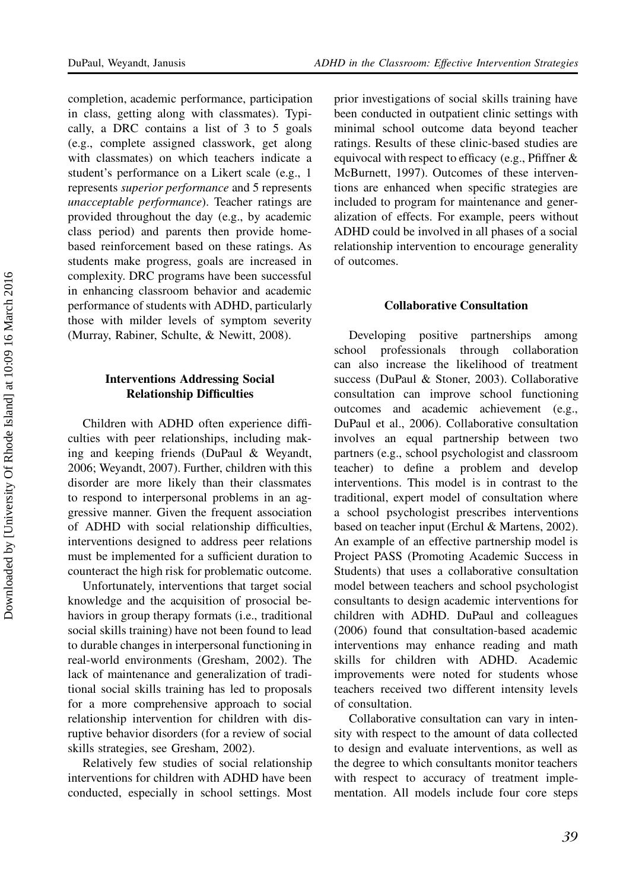completion, academic performance, participation in class, getting along with classmates). Typically, a DRC contains a list of 3 to 5 goals (e.g., complete assigned classwork, get along with classmates) on which teachers indicate a student's performance on a Likert scale (e.g., 1 represents superior performance and 5 represents unacceptable performance). Teacher ratings are provided throughout the day (e.g., by academic class period) and parents then provide homebased reinforcement based on these ratings. As students make progress, goals are increased in complexity. DRC programs have been successful in enhancing classroom behavior and academic performance of students with ADHD, particularly those with milder levels of symptom severity (Murray, Rabiner, Schulte, & Newitt, 2008).

#### Interventions Addressing Social Relationship Difficulties

Children with ADHD often experience difficulties with peer relationships, including making and keeping friends (DuPaul & Weyandt, 2006; Weyandt, 2007). Further, children with this disorder are more likely than their classmates to respond to interpersonal problems in an aggressive manner. Given the frequent association of ADHD with social relationship difficulties, interventions designed to address peer relations must be implemented for a sufficient duration to counteract the high risk for problematic outcome.

Unfortunately, interventions that target social knowledge and the acquisition of prosocial behaviors in group therapy formats (i.e., traditional social skills training) have not been found to lead to durable changes in interpersonal functioning in real-world environments (Gresham, 2002). The lack of maintenance and generalization of traditional social skills training has led to proposals for a more comprehensive approach to social relationship intervention for children with disruptive behavior disorders (for a review of social skills strategies, see Gresham, 2002).

Relatively few studies of social relationship interventions for children with ADHD have been conducted, especially in school settings. Most prior investigations of social skills training have been conducted in outpatient clinic settings with minimal school outcome data beyond teacher ratings. Results of these clinic-based studies are equivocal with respect to efficacy (e.g., Pfiffner & McBurnett, 1997). Outcomes of these interventions are enhanced when specific strategies are included to program for maintenance and generalization of effects. For example, peers without ADHD could be involved in all phases of a social relationship intervention to encourage generality of outcomes.

#### Collaborative Consultation

Developing positive partnerships among school professionals through collaboration can also increase the likelihood of treatment success (DuPaul & Stoner, 2003). Collaborative consultation can improve school functioning outcomes and academic achievement (e.g., DuPaul et al., 2006). Collaborative consultation involves an equal partnership between two partners (e.g., school psychologist and classroom teacher) to define a problem and develop interventions. This model is in contrast to the traditional, expert model of consultation where a school psychologist prescribes interventions based on teacher input (Erchul & Martens, 2002). An example of an effective partnership model is Project PASS (Promoting Academic Success in Students) that uses a collaborative consultation model between teachers and school psychologist consultants to design academic interventions for children with ADHD. DuPaul and colleagues (2006) found that consultation-based academic interventions may enhance reading and math skills for children with ADHD. Academic improvements were noted for students whose teachers received two different intensity levels of consultation.

Collaborative consultation can vary in intensity with respect to the amount of data collected to design and evaluate interventions, as well as the degree to which consultants monitor teachers with respect to accuracy of treatment implementation. All models include four core steps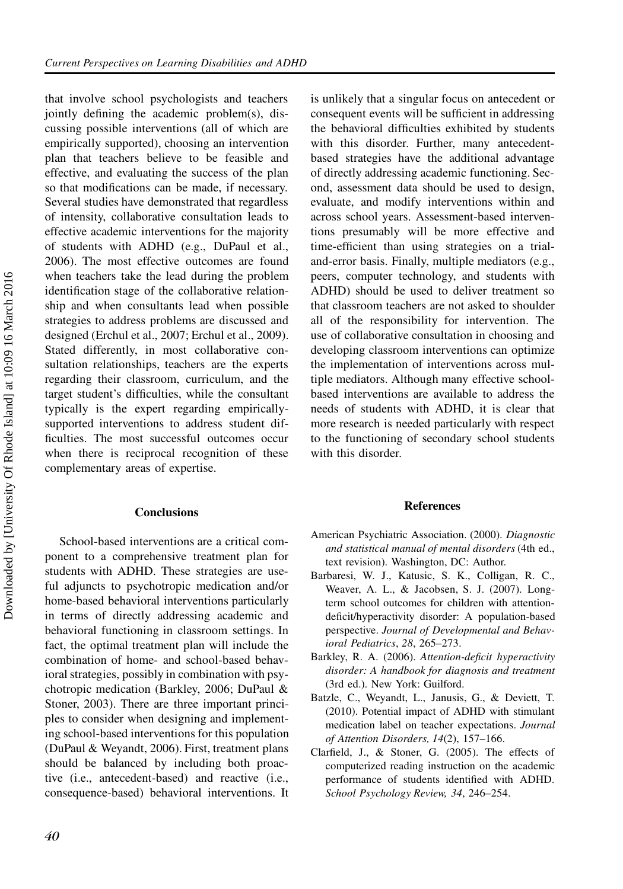that involve school psychologists and teachers jointly defining the academic problem(s), discussing possible interventions (all of which are empirically supported), choosing an intervention plan that teachers believe to be feasible and effective, and evaluating the success of the plan so that modifications can be made, if necessary. Several studies have demonstrated that regardless of intensity, collaborative consultation leads to effective academic interventions for the majority of students with ADHD (e.g., DuPaul et al., 2006). The most effective outcomes are found when teachers take the lead during the problem identification stage of the collaborative relationship and when consultants lead when possible strategies to address problems are discussed and designed (Erchul et al., 2007; Erchul et al., 2009). Stated differently, in most collaborative consultation relationships, teachers are the experts regarding their classroom, curriculum, and the target student's difficulties, while the consultant typically is the expert regarding empiricallysupported interventions to address student difficulties. The most successful outcomes occur when there is reciprocal recognition of these complementary areas of expertise.

#### **Conclusions**

School-based interventions are a critical component to a comprehensive treatment plan for students with ADHD. These strategies are useful adjuncts to psychotropic medication and/or home-based behavioral interventions particularly in terms of directly addressing academic and behavioral functioning in classroom settings. In fact, the optimal treatment plan will include the combination of home- and school-based behavioral strategies, possibly in combination with psychotropic medication (Barkley, 2006; DuPaul & Stoner, 2003). There are three important principles to consider when designing and implementing school-based interventions for this population (DuPaul & Weyandt, 2006). First, treatment plans should be balanced by including both proactive (i.e., antecedent-based) and reactive (i.e., consequence-based) behavioral interventions. It is unlikely that a singular focus on antecedent or consequent events will be sufficient in addressing the behavioral difficulties exhibited by students with this disorder. Further, many antecedentbased strategies have the additional advantage of directly addressing academic functioning. Second, assessment data should be used to design, evaluate, and modify interventions within and across school years. Assessment-based interventions presumably will be more effective and time-efficient than using strategies on a trialand-error basis. Finally, multiple mediators (e.g., peers, computer technology, and students with ADHD) should be used to deliver treatment so that classroom teachers are not asked to shoulder all of the responsibility for intervention. The use of collaborative consultation in choosing and developing classroom interventions can optimize the implementation of interventions across multiple mediators. Although many effective schoolbased interventions are available to address the needs of students with ADHD, it is clear that more research is needed particularly with respect to the functioning of secondary school students with this disorder.

#### References

- American Psychiatric Association. (2000). Diagnostic and statistical manual of mental disorders (4th ed., text revision). Washington, DC: Author.
- Barbaresi, W. J., Katusic, S. K., Colligan, R. C., Weaver, A. L., & Jacobsen, S. J. (2007). Longterm school outcomes for children with attentiondeficit/hyperactivity disorder: A population-based perspective. Journal of Developmental and Behavioral Pediatrics, 28, 265–273.
- Barkley, R. A. (2006). Attention-deficit hyperactivity disorder: A handbook for diagnosis and treatment (3rd ed.). New York: Guilford.
- Batzle, C., Weyandt, L., Janusis, G., & Deviett, T. (2010). Potential impact of ADHD with stimulant medication label on teacher expectations. Journal of Attention Disorders, 14(2), 157–166.
- Clarfield, J., & Stoner, G. (2005). The effects of computerized reading instruction on the academic performance of students identified with ADHD. School Psychology Review, 34, 246–254.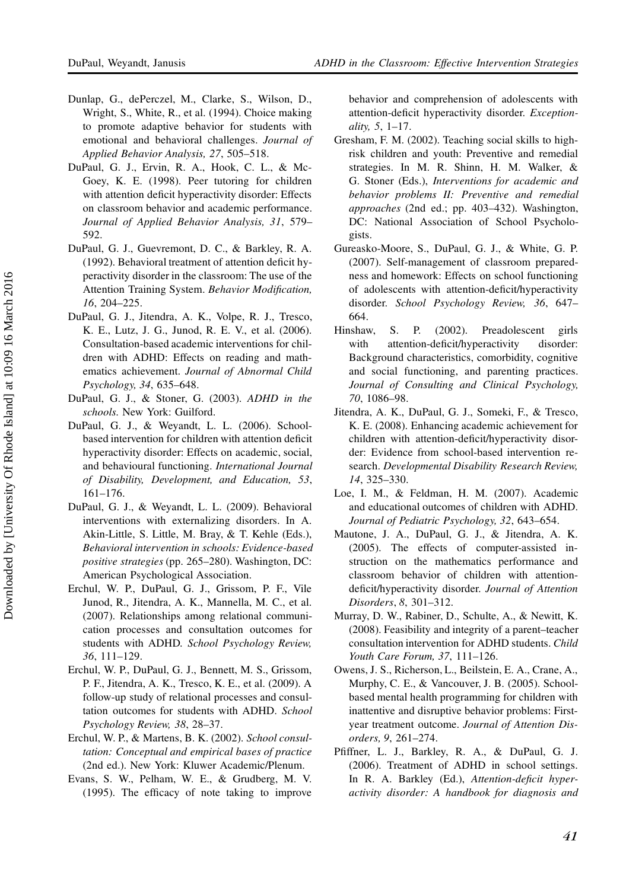- DuPaul, G. J., Ervin, R. A., Hook, C. L., & Mc-Goey, K. E. (1998). Peer tutoring for children with attention deficit hyperactivity disorder: Effects on classroom behavior and academic performance. Journal of Applied Behavior Analysis, 31, 579– 592.
- DuPaul, G. J., Guevremont, D. C., & Barkley, R. A. (1992). Behavioral treatment of attention deficit hyperactivity disorder in the classroom: The use of the Attention Training System. Behavior Modification, 16, 204–225.
- DuPaul, G. J., Jitendra, A. K., Volpe, R. J., Tresco, K. E., Lutz, J. G., Junod, R. E. V., et al. (2006). Consultation-based academic interventions for children with ADHD: Effects on reading and mathematics achievement. Journal of Abnormal Child Psychology, 34, 635–648.
- DuPaul, G. J., & Stoner, G. (2003). ADHD in the schools. New York: Guilford.
- DuPaul, G. J., & Weyandt, L. L. (2006). Schoolbased intervention for children with attention deficit hyperactivity disorder: Effects on academic, social, and behavioural functioning. International Journal of Disability, Development, and Education, 53, 161–176.
- DuPaul, G. J., & Weyandt, L. L. (2009). Behavioral interventions with externalizing disorders. In A. Akin-Little, S. Little, M. Bray, & T. Kehle (Eds.), Behavioral intervention in schools: Evidence-based positive strategies (pp. 265–280). Washington, DC: American Psychological Association.
- Erchul, W. P., DuPaul, G. J., Grissom, P. F., Vile Junod, R., Jitendra, A. K., Mannella, M. C., et al. (2007). Relationships among relational communication processes and consultation outcomes for students with ADHD. School Psychology Review, 36, 111–129.
- Erchul, W. P., DuPaul, G. J., Bennett, M. S., Grissom, P. F., Jitendra, A. K., Tresco, K. E., et al. (2009). A follow-up study of relational processes and consultation outcomes for students with ADHD. School Psychology Review, 38, 28–37.
- Erchul, W. P., & Martens, B. K. (2002). School consultation: Conceptual and empirical bases of practice (2nd ed.). New York: Kluwer Academic/Plenum.
- Evans, S. W., Pelham, W. E., & Grudberg, M. V. (1995). The efficacy of note taking to improve

DuPaul, Weyandt, Janusis ADHD in the Classroom: Effective Intervention Strategies

behavior and comprehension of adolescents with attention-deficit hyperactivity disorder. Exceptionality, 5, 1–17.

- Gresham, F. M. (2002). Teaching social skills to highrisk children and youth: Preventive and remedial strategies. In M. R. Shinn, H. M. Walker, & G. Stoner (Eds.), Interventions for academic and behavior problems II: Preventive and remedial approaches (2nd ed.; pp. 403–432). Washington, DC: National Association of School Psychologists.
- Gureasko-Moore, S., DuPaul, G. J., & White, G. P. (2007). Self-management of classroom preparedness and homework: Effects on school functioning of adolescents with attention-deficit/hyperactivity disorder. School Psychology Review, 36, 647– 664.
- Hinshaw, S. P. (2002). Preadolescent girls with attention-deficit/hyperactivity disorder: Background characteristics, comorbidity, cognitive and social functioning, and parenting practices. Journal of Consulting and Clinical Psychology, 70, 1086–98.
- Jitendra, A. K., DuPaul, G. J., Someki, F., & Tresco, K. E. (2008). Enhancing academic achievement for children with attention-deficit/hyperactivity disorder: Evidence from school-based intervention research. Developmental Disability Research Review, 14, 325–330.
- Loe, I. M., & Feldman, H. M. (2007). Academic and educational outcomes of children with ADHD. Journal of Pediatric Psychology, 32, 643–654.
- Mautone, J. A., DuPaul, G. J., & Jitendra, A. K. (2005). The effects of computer-assisted instruction on the mathematics performance and classroom behavior of children with attentiondeficit/hyperactivity disorder. Journal of Attention Disorders, 8, 301–312.
- Murray, D. W., Rabiner, D., Schulte, A., & Newitt, K. (2008). Feasibility and integrity of a parent–teacher consultation intervention for ADHD students. Child Youth Care Forum, 37, 111–126.
- Owens, J. S., Richerson, L., Beilstein, E. A., Crane, A., Murphy, C. E., & Vancouver, J. B. (2005). Schoolbased mental health programming for children with inattentive and disruptive behavior problems: Firstyear treatment outcome. Journal of Attention Disorders, 9, 261–274.
- Pfiffner, L. J., Barkley, R. A., & DuPaul, G. J. (2006). Treatment of ADHD in school settings. In R. A. Barkley (Ed.), Attention-deficit hyperactivity disorder: A handbook for diagnosis and